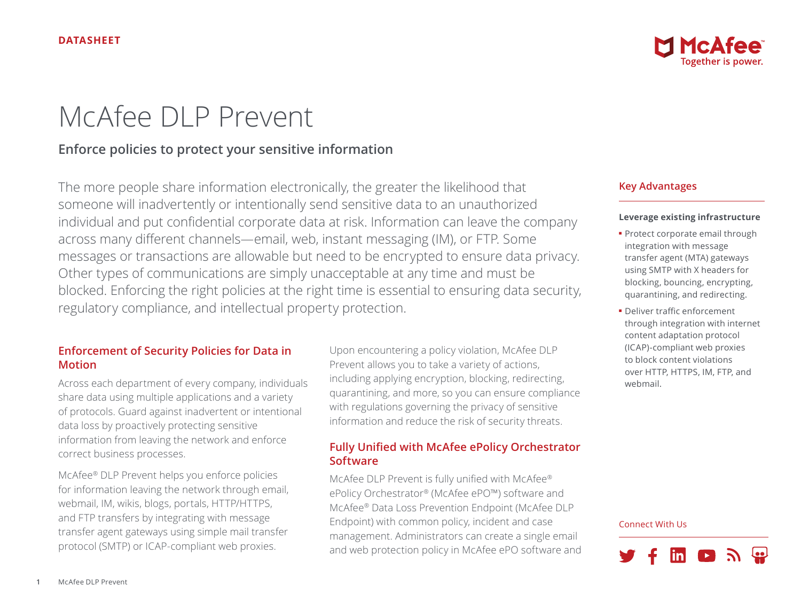

# McAfee DLP Prevent

# **Enforce policies to protect your sensitive information**

The more people share information electronically, the greater the likelihood that someone will inadvertently or intentionally send sensitive data to an unauthorized individual and put confidential corporate data at risk. Information can leave the company across many different channels—email, web, instant messaging (IM), or FTP. Some messages or transactions are allowable but need to be encrypted to ensure data privacy. Other types of communications are simply unacceptable at any time and must be blocked. Enforcing the right policies at the right time is essential to ensuring data security, regulatory compliance, and intellectual property protection.

## **Enforcement of Security Policies for Data in Motion**

Across each department of every company, individuals share data using multiple applications and a variety of protocols. Guard against inadvertent or intentional data loss by proactively protecting sensitive information from leaving the network and enforce correct business processes.

McAfee® DLP Prevent helps you enforce policies for information leaving the network through email, webmail, IM, wikis, blogs, portals, HTTP/HTTPS, and FTP transfers by integrating with message transfer agent gateways using simple mail transfer protocol (SMTP) or ICAP-compliant web proxies.

Upon encountering a policy violation, McAfee DLP Prevent allows you to take a variety of actions, including applying encryption, blocking, redirecting, quarantining, and more, so you can ensure compliance with regulations governing the privacy of sensitive information and reduce the risk of security threats.

# **Fully Unified with McAfee ePolicy Orchestrator Software**

McAfee DLP Prevent is fully unified with McAfee® ePolicy Orchestrator® (McAfee ePO™) software and McAfee® Data Loss Prevention Endpoint (McAfee DLP Endpoint) with common policy, incident and case management. Administrators can create a single email and web protection policy in McAfee ePO software and

# **Key Advantages**

## **Leverage existing infrastructure**

- Protect corporate email through integration with message transfer agent (MTA) gateways using SMTP with X headers for blocking, bouncing, encrypting, quarantining, and redirecting.
- Deliver traffic enforcement through integration with internet content adaptation protocol (ICAP)-compliant web proxies to block content violations over HTTP, HTTPS, IM, FTP, and webmail.

#### Connect With Us

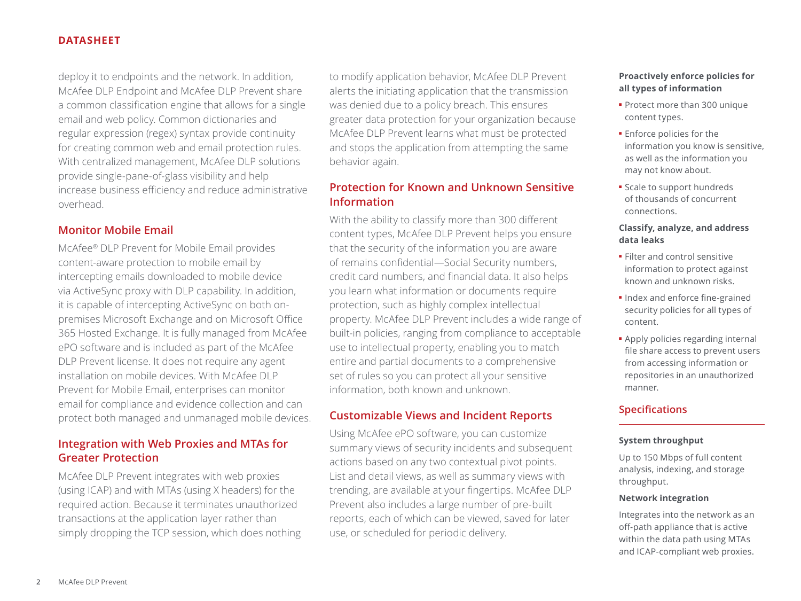## **DATASHEET**

deploy it to endpoints and the network. In addition, McAfee DLP Endpoint and McAfee DLP Prevent share a common classification engine that allows for a single email and web policy. Common dictionaries and regular expression (regex) syntax provide continuity for creating common web and email protection rules. With centralized management, McAfee DLP solutions provide single-pane-of-glass visibility and help increase business efficiency and reduce administrative overhead.

# **Monitor Mobile Email**

McAfee® DLP Prevent for Mobile Email provides content-aware protection to mobile email by intercepting emails downloaded to mobile device via ActiveSync proxy with DLP capability. In addition, it is capable of intercepting ActiveSync on both onpremises Microsoft Exchange and on Microsoft Office 365 Hosted Exchange. It is fully managed from McAfee ePO software and is included as part of the McAfee DLP Prevent license. It does not require any agent installation on mobile devices. With McAfee DLP Prevent for Mobile Email, enterprises can monitor email for compliance and evidence collection and can protect both managed and unmanaged mobile devices.

# **Integration with Web Proxies and MTAs for Greater Protection**

McAfee DLP Prevent integrates with web proxies (using ICAP) and with MTAs (using X headers) for the required action. Because it terminates unauthorized transactions at the application layer rather than simply dropping the TCP session, which does nothing to modify application behavior, McAfee DLP Prevent alerts the initiating application that the transmission was denied due to a policy breach. This ensures greater data protection for your organization because McAfee DLP Prevent learns what must be protected and stops the application from attempting the same behavior again.

## **Protection for Known and Unknown Sensitive Information**

With the ability to classify more than 300 different content types, McAfee DLP Prevent helps you ensure that the security of the information you are aware of remains confidential—Social Security numbers, credit card numbers, and financial data. It also helps you learn what information or documents require protection, such as highly complex intellectual property. McAfee DLP Prevent includes a wide range of built-in policies, ranging from compliance to acceptable use to intellectual property, enabling you to match entire and partial documents to a comprehensive set of rules so you can protect all your sensitive information, both known and unknown.

# **Customizable Views and Incident Reports**

Using McAfee ePO software, you can customize summary views of security incidents and subsequent actions based on any two contextual pivot points. List and detail views, as well as summary views with trending, are available at your fingertips. McAfee DLP Prevent also includes a large number of pre-built reports, each of which can be viewed, saved for later use, or scheduled for periodic delivery.

## **Proactively enforce policies for all types of information**

- Protect more than 300 unique content types.
- Enforce policies for the information you know is sensitive, as well as the information you may not know about.
- Scale to support hundreds of thousands of concurrent connections.

## **Classify, analyze, and address data leaks**

- Filter and control sensitive information to protect against known and unknown risks.
- Index and enforce fine-grained security policies for all types of content.
- Apply policies regarding internal file share access to prevent users from accessing information or repositories in an unauthorized manner.

## **Specifications**

## **System throughput**

Up to 150 Mbps of full content analysis, indexing, and storage throughput.

#### **Network integration**

Integrates into the network as an off-path appliance that is active within the data path using MTAs and ICAP-compliant web proxies.